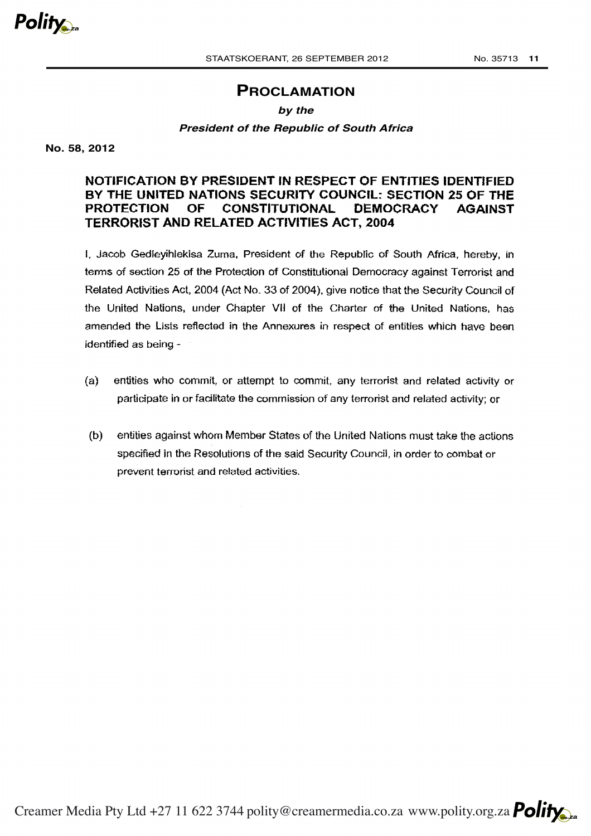

# **PROCLAMATION**

## *by the*

### *President of the Republic of South Africa*

**No. 58, 2012**

## **NOTIFICATION BY PRESIDENT IN RESPECT OF ENTITIES IDENTIFIED BY THE UNITED NATIONS SECURITY COUNCIL: SECTION 25 OF THE PROTECTION OF CONSTITUTIONAL DEMOCRACY AGAINST TERRORIST AND RELATED ACTIVITIES ACT, 2004**

I, Jacob Gedleyihlekisa Zuma, President of the Republic of South Africa, hereby, in terms of section 25 of the Protection of Constitutional Democracy against Terrorist and Related Activities Act, 2004 (Act No. 33 of 2004 }, give notice that the Security Council of the United Nations, under Chapter VII of the Charter of the United Nations, has amended the Lists reflected in the Annexures in respect of entities which have been identified as being -

- (a) entities who commit, or attempt to commit, any terrorist and related activity or participate in or facilitate the commission of any terrorist and related activity; or
- (b) entities against whom Member States of the United Nations must take the actions specified in the Resolutions of the said Security Council, in order to combat or prevent terrorist and related activities.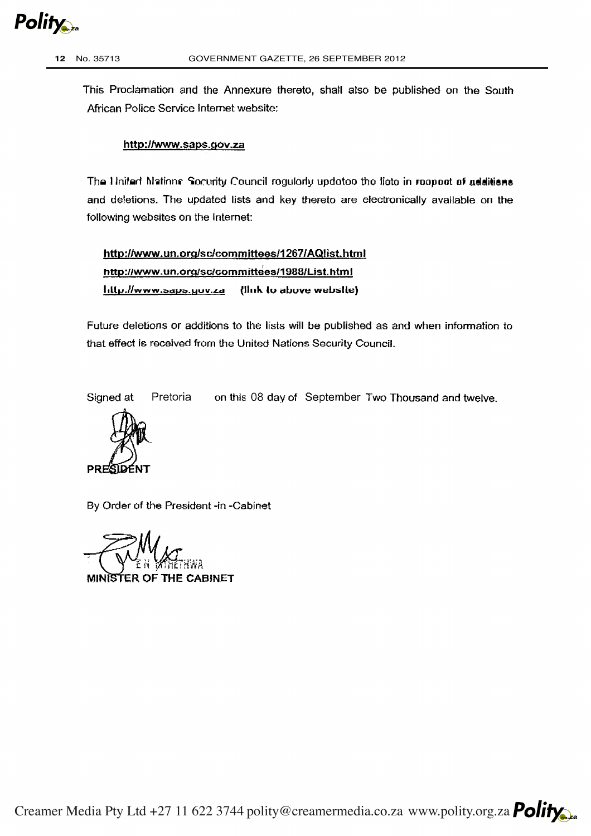

This Proclamation and the Annexure thereto, shall also be published on the South African Police Service Internet website:

## http://www.saps.gov.za

The Hinited Mations. Socurity Council rogularly updatoo the lioto in reoppot of additions and deletions. The updated lists and key thereto are electronically available on the following websites on the Internet:

http://www.un.org/sc/committees/1267/AQiist.html http://www.un.org/sc/committees/1988/List.html  $J_1$ ( $\mu$ ,//www.saps.gov.za (lluk to above website)

Future deletions or additions to the lists will be published as and when information to that effect is received from the United Nations Security Council.

Signed at Pretoria on this 08 day of September Two Thousand and twelve.



By Order of the President -in -Cabinet

MINISTER OF THE CABINET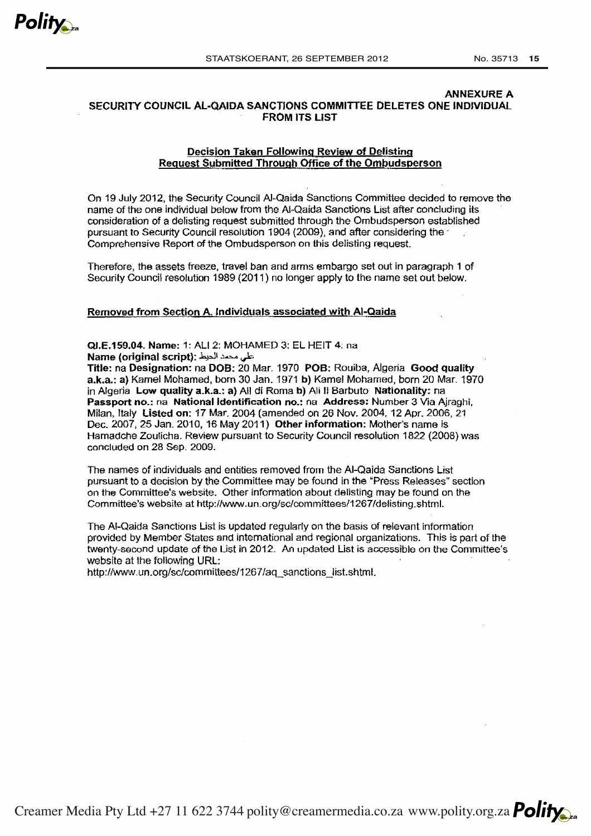

#### ANNEXURE A SECURITY COUNCIL AL-QAIDA SANCTIONS COMMITTEE DELETES ONE INDIVIDUAL FROM ITS LIST

#### Decision Taken Following Review of Delisting Request Submitted Through Office of the Ombudsperson

On 19 July 2012, the Security Council AI~Qaida Sanctions Committee decided to remove the name of the one individual below from the AI-Qaida Sanctions List after concluding its consideration of a delisting request submitted through the Ombudsperson established pursuant to Security Council resolution 1904 (2009), and after considering the  $\gamma$ Comprehensive Report of the Ombudsperson on this delisting request.

Therefore, the assets freeze, travel ban and arms embargo set out in paragraph 1 of Security Council resolution 1989 (2011) no longer apply to the narne set out below.

#### Removed from Section A. Individuals associated with AI-Qaida

QJ.E.159.04. Name: 1: ALI 2: MOHAMED 3: EL HEIT 4: na Name (original script); . على محمد الحيط .

Title: *na* Designation: na DOB: 20 Mar. 1970 POB: Rouiba, Algeria Good quality a.k.a.: a) Kamel Mohamed, born 30 Jan. 1971 b) Kamel Mohamed, born 20 Mar. 1970 in Algeria Low quality a.k.a.: a) All di Roma b) Ali II Barbuto Nationality: na Passport no.: na National Identification no.: na Address: Number 3 Via Ajraghi, Milan, Italy Listed on: 17 Mar. 2004 (amended on 26 Nov. 2004, 12 Apr. 2006, 21 Dec. 2007, 25 Jan. 2010, 16 May 2011) Other information: Mother's nama is Hamadche Zoulicha. Review pursuant to Security Council resolution 1822 (2008) was concluded on 28 Sep. 2009.

The names of individuals and entities removed from the AI-Qaida Sanctions List pursuant to a decision by the Committee may be found in the "Press Releases'' section on the Committee's website. Other information about del!sting may be found on the Committee's website at http://www.un.org/sc/committees/1267/delisting.shtml.

The AI-Qaida Sanctions List is updated regularly on the basis of relevant information provided by Member States and international and regional organizations. This is part of the twenty-second update of the List in 2012. An updated List is accessible on the Committee's website at the following URL:

http://www.un.org/sc/committees/1267/aq\_sanctions\_list.shtml.